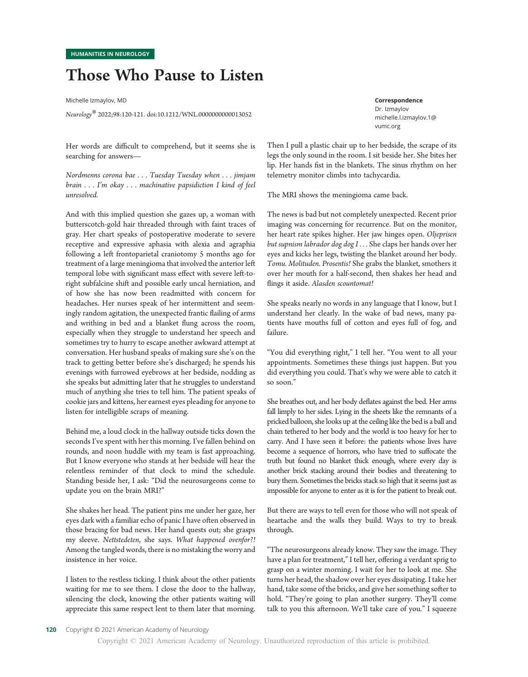# Those Who Pause to Listen

Michelle Izmaylov, MD

Neurology® 2022;98:120-121. doi:10.1212/WNL.0000000000013052

Her words are difficult to comprehend, but it seems she is searching for answers—

Nordmenns corona bae . . . Tuesday Tuesday when . . . jimjam brain . . . I'm okay . . . machinative papsidiction I kind of feel unresolved.

And with this implied question she gazes up, a woman with butterscotch-gold hair threaded through with faint traces of gray. Her chart speaks of postoperative moderate to severe receptive and expressive aphasia with alexia and agraphia following a left frontoparietal craniotomy 5 months ago for treatment of a large meningioma that involved the anterior left temporal lobe with significant mass effect with severe left-toright subfalcine shift and possible early uncal herniation, and of how she has now been readmitted with concern for headaches. Her nurses speak of her intermittent and seemingly random agitation, the unexpected frantic flailing of arms and writhing in bed and a blanket flung across the room, especially when they struggle to understand her speech and sometimes try to hurry to escape another awkward attempt at conversation. Her husband speaks of making sure she's on the track to getting better before she's discharged; he spends his evenings with furrowed eyebrows at her bedside, nodding as she speaks but admitting later that he struggles to understand much of anything she tries to tell him. The patient speaks of cookie jars and kittens, her earnest eyes pleading for anyone to listen for intelligible scraps of meaning.

Behind me, a loud clock in the hallway outside ticks down the seconds I've spent with her this morning. I've fallen behind on rounds, and noon huddle with my team is fast approaching. But I know everyone who stands at her bedside will hear the relentless reminder of that clock to mind the schedule. Standing beside her, I ask: "Did the neurosurgeons come to update you on the brain MRI?"

She shakes her head. The patient pins me under her gaze, her eyes dark with a familiar echo of panic I have often observed in those bracing for bad news. Her hand quests out; she grasps my sleeve. Nettstedeten, she says. What happened ovenfor?! Among the tangled words, there is no mistaking the worry and insistence in her voice.

I listen to the restless ticking. I think about the other patients waiting for me to see them. I close the door to the hallway, silencing the clock, knowing the other patients waiting will appreciate this same respect lent to them later that morning.

Correspondence

Dr. Izmaylov<br>michelle.l.izmaylov.1@ [michelle.l.izmaylov.1@](mailto:michelle.l.izmaylov.1@vumc.org) vumc.org

Then I pull a plastic chair up to her bedside, the scrape of its legs the only sound in the room. I sit beside her. She bites her lip. Her hands fist in the blankets. The sinus rhythm on her telemetry monitor climbs into tachycardia.

The MRI shows the meningioma came back.

The news is bad but not completely unexpected. Recent prior imaging was concerning for recurrence. But on the monitor, her heart rate spikes higher. Her jaw hinges open. Oljeprisen but supnism labrador dog dog I . . . She claps her hands over her eyes and kicks her legs, twisting the blanket around her body. Tomu. Molituden. Prosentis! She grabs the blanket, smothers it over her mouth for a half-second, then shakes her head and flings it aside. Alasden scountomat!

She speaks nearly no words in any language that I know, but I understand her clearly. In the wake of bad news, many patients have mouths full of cotton and eyes full of fog, and failure.

"You did everything right," I tell her. "You went to all your appointments. Sometimes these things just happen. But you did everything you could. That's why we were able to catch it so soon."

She breathes out, and her body deflates against the bed. Her arms fall limply to her sides. Lying in the sheets like the remnants of a pricked balloon, she looks up at the ceiling like the bed is a ball and chain tethered to her body and the world is too heavy for her to carry. And I have seen it before: the patients whose lives have become a sequence of horrors, who have tried to suffocate the truth but found no blanket thick enough, where every day is another brick stacking around their bodies and threatening to bury them. Sometimes the bricks stack so high that it seems just as impossible for anyone to enter as it is for the patient to break out.

But there are ways to tell even for those who will not speak of heartache and the walls they build. Ways to try to break through.

"The neurosurgeons already know. They saw the image. They have a plan for treatment," I tell her, offering a verdant sprig to grasp on a winter morning. I wait for her to look at me. She turns her head, the shadow over her eyes dissipating. I take her hand, take some of the bricks, and give her something softer to hold. "They're going to plan another surgery. They'll come talk to you this afternoon. We'll take care of you." I squeeze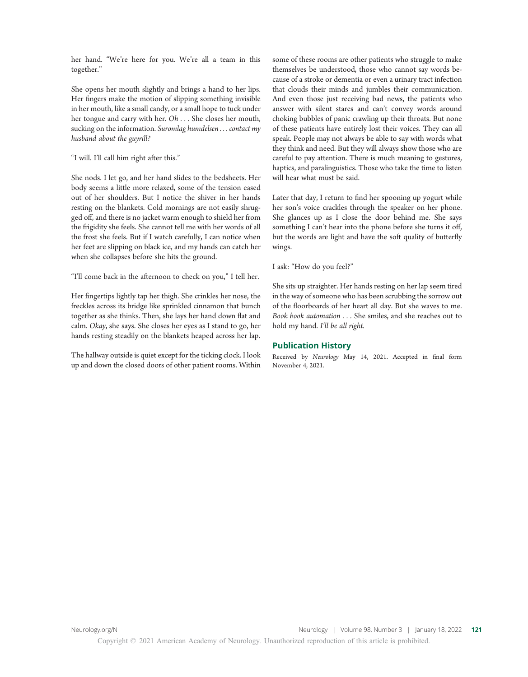her hand. "We're here for you. We're all a team in this together."

She opens her mouth slightly and brings a hand to her lips. Her fingers make the motion of slipping something invisible in her mouth, like a small candy, or a small hope to tuck under her tongue and carry with her. Oh . . . She closes her mouth, sucking on the information. Suromlag humdelsen . . . contact my husband about the guyrill?

"I will. I'll call him right after this."

She nods. I let go, and her hand slides to the bedsheets. Her body seems a little more relaxed, some of the tension eased out of her shoulders. But I notice the shiver in her hands resting on the blankets. Cold mornings are not easily shrugged off, and there is no jacket warm enough to shield her from the frigidity she feels. She cannot tell me with her words of all the frost she feels. But if I watch carefully, I can notice when her feet are slipping on black ice, and my hands can catch her when she collapses before she hits the ground.

"I'll come back in the afternoon to check on you," I tell her.

Her fingertips lightly tap her thigh. She crinkles her nose, the freckles across its bridge like sprinkled cinnamon that bunch together as she thinks. Then, she lays her hand down flat and calm. Okay, she says. She closes her eyes as I stand to go, her hands resting steadily on the blankets heaped across her lap.

The hallway outside is quiet except for the ticking clock. I look up and down the closed doors of other patient rooms. Within

some of these rooms are other patients who struggle to make themselves be understood, those who cannot say words because of a stroke or dementia or even a urinary tract infection that clouds their minds and jumbles their communication. And even those just receiving bad news, the patients who answer with silent stares and can't convey words around choking bubbles of panic crawling up their throats. But none of these patients have entirely lost their voices. They can all speak. People may not always be able to say with words what they think and need. But they will always show those who are careful to pay attention. There is much meaning to gestures, haptics, and paralinguistics. Those who take the time to listen will hear what must be said.

Later that day, I return to find her spooning up yogurt while her son's voice crackles through the speaker on her phone. She glances up as I close the door behind me. She says something I can't hear into the phone before she turns it off, but the words are light and have the soft quality of butterfly wings.

I ask: "How do you feel?"

She sits up straighter. Her hands resting on her lap seem tired in the way of someone who has been scrubbing the sorrow out of the floorboards of her heart all day. But she waves to me. Book book automation . . . She smiles, and she reaches out to hold my hand. I'll be all right.

### Publication History

Received by Neurology May 14, 2021. Accepted in final form November 4, 2021.